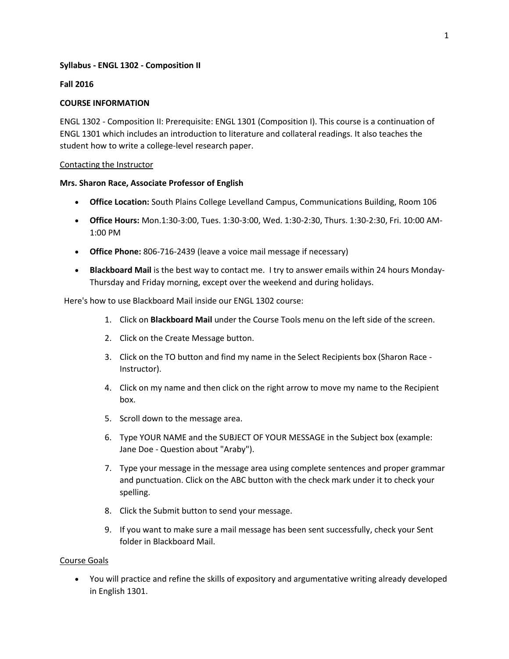### **Syllabus - ENGL 1302 - Composition II**

#### **Fall 2016**

### **COURSE INFORMATION**

ENGL 1302 - Composition II: Prerequisite: ENGL 1301 (Composition I). This course is a continuation of ENGL 1301 which includes an introduction to literature and collateral readings. It also teaches the student how to write a college-level research paper.

#### Contacting the Instructor

#### **Mrs. Sharon Race, Associate Professor of English**

- **Office Location:** South Plains College Levelland Campus, Communications Building, Room 106
- **Office Hours:** Mon.1:30-3:00, Tues. 1:30-3:00, Wed. 1:30-2:30, Thurs. 1:30-2:30, Fri. 10:00 AM-1:00 PM
- **Office Phone:** 806-716-2439 (leave a voice mail message if necessary)
- **Blackboard Mail** is the best way to contact me. I try to answer emails within 24 hours Monday-Thursday and Friday morning, except over the weekend and during holidays.

Here's how to use Blackboard Mail inside our ENGL 1302 course:

- 1. Click on **Blackboard Mail** under the Course Tools menu on the left side of the screen.
- 2. Click on the Create Message button.
- 3. Click on the TO button and find my name in the Select Recipients box (Sharon Race Instructor).
- 4. Click on my name and then click on the right arrow to move my name to the Recipient box.
- 5. Scroll down to the message area.
- 6. Type YOUR NAME and the SUBJECT OF YOUR MESSAGE in the Subject box (example: Jane Doe - Question about "Araby").
- 7. Type your message in the message area using complete sentences and proper grammar and punctuation. Click on the ABC button with the check mark under it to check your spelling.
- 8. Click the Submit button to send your message.
- 9. If you want to make sure a mail message has been sent successfully, check your Sent folder in Blackboard Mail.

#### Course Goals

 You will practice and refine the skills of expository and argumentative writing already developed in English 1301.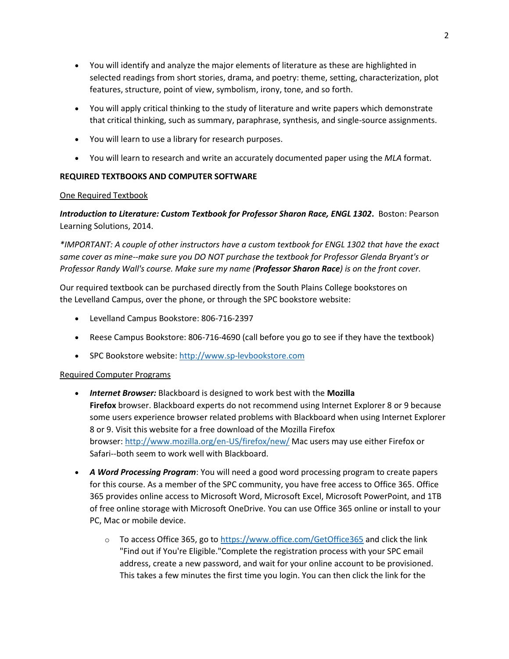- You will identify and analyze the major elements of literature as these are highlighted in selected readings from short stories, drama, and poetry: theme, setting, characterization, plot features, structure, point of view, symbolism, irony, tone, and so forth.
- You will apply critical thinking to the study of literature and write papers which demonstrate that critical thinking, such as summary, paraphrase, synthesis, and single-source assignments.
- You will learn to use a library for research purposes.
- You will learn to research and write an accurately documented paper using the *MLA* format.

## **REQUIRED TEXTBOOKS AND COMPUTER SOFTWARE**

## One Required Textbook

*Introduction to Literature: Custom Textbook for Professor Sharon Race, ENGL 1302***.** Boston: Pearson Learning Solutions, 2014.

*\*IMPORTANT: A couple of other instructors have a custom textbook for ENGL 1302 that have the exact same cover as mine--make sure you DO NOT purchase the textbook for Professor Glenda Bryant's or Professor Randy Wall's course. Make sure my name (Professor Sharon Race) is on the front cover.*

Our required textbook can be purchased directly from the South Plains College bookstores on the Levelland Campus, over the phone, or through the SPC bookstore website:

- Levelland Campus Bookstore: 806-716-2397
- Reese Campus Bookstore: 806-716-4690 (call before you go to see if they have the textbook)
- **SPC Bookstore website: [http://www.sp-levbookstore.com](http://www.sp-levbookstore.com/)**

## Required Computer Programs

- *Internet Browser:* Blackboard is designed to work best with the **Mozilla Firefox** browser. Blackboard experts do not recommend using Internet Explorer 8 or 9 because some users experience browser related problems with Blackboard when using Internet Explorer 8 or 9. Visit this website for a free download of the Mozilla Firefox browser: <http://www.mozilla.org/en-US/firefox/new/> Mac users may use either Firefox or Safari--both seem to work well with Blackboard.
- *A Word Processing Program*: You will need a good word processing program to create papers for this course. As a member of the SPC community, you have free access to Office 365. Office 365 provides online access to Microsoft Word, Microsoft Excel, Microsoft PowerPoint, and 1TB of free online storage with Microsoft OneDrive. You can use Office 365 online or install to your PC, Mac or mobile device.
	- o To access Office 365, go to <https://www.office.com/GetOffice365> and click the link "Find out if You're Eligible."Complete the registration process with your SPC email address, create a new password, and wait for your online account to be provisioned. This takes a few minutes the first time you login. You can then click the link for the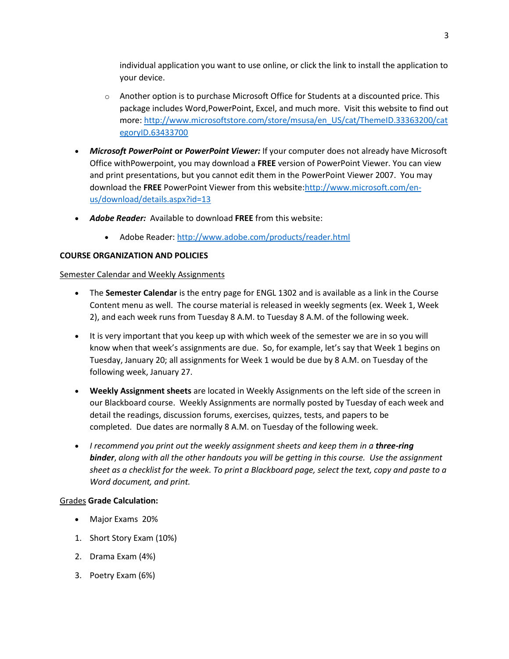individual application you want to use online, or click the link to install the application to your device.

- o Another option is to purchase Microsoft Office for Students at a discounted price. This package includes Word,PowerPoint, Excel, and much more. Visit this website to find out more: [http://www.microsoftstore.com/store/msusa/en\\_US/cat/ThemeID.33363200/cat](http://www.microsoftstore.com/store/msusa/en_US/cat/ThemeID.33363200/categoryID.63433700) [egoryID.63433700](http://www.microsoftstore.com/store/msusa/en_US/cat/ThemeID.33363200/categoryID.63433700)
- *Microsoft PowerPoint* **or** *PowerPoint Viewer:* If your computer does not already have Microsoft Office withPowerpoint, you may download a **FREE** version of PowerPoint Viewer. You can view and print presentations, but you cannot edit them in the PowerPoint Viewer 2007. You may download the **FREE** PowerPoint Viewer from this website[:http://www.microsoft.com/en](http://www.microsoft.com/en-us/download/details.aspx?id=13)[us/download/details.aspx?id=13](http://www.microsoft.com/en-us/download/details.aspx?id=13)
- *Adobe Reader:* Available to download **FREE** from this website:
	- Adobe Reader: <http://www.adobe.com/products/reader.html>

## **COURSE ORGANIZATION AND POLICIES**

## Semester Calendar and Weekly Assignments

- The **Semester Calendar** is the entry page for ENGL 1302 and is available as a link in the Course Content menu as well. The course material is released in weekly segments (ex. Week 1, Week 2), and each week runs from Tuesday 8 A.M. to Tuesday 8 A.M. of the following week.
- It is very important that you keep up with which week of the semester we are in so you will know when that week's assignments are due. So, for example, let's say that Week 1 begins on Tuesday, January 20; all assignments for Week 1 would be due by 8 A.M. on Tuesday of the following week, January 27.
- **Weekly Assignment sheets** are located in Weekly Assignments on the left side of the screen in our Blackboard course. Weekly Assignments are normally posted by Tuesday of each week and detail the readings, discussion forums, exercises, quizzes, tests, and papers to be completed. Due dates are normally 8 A.M. on Tuesday of the following week.
- I recommend you print out the weekly assignment sheets and keep them in a **three-ring** *binder*, *along with all the other handouts you will be getting in this course. Use the assignment sheet as a checklist for the week. To print a Blackboard page, select the text, copy and paste to a Word document, and print.*

### Grades **Grade Calculation:**

- Major Exams 20%
- 1. Short Story Exam (10%)
- 2. Drama Exam (4%)
- 3. Poetry Exam (6%)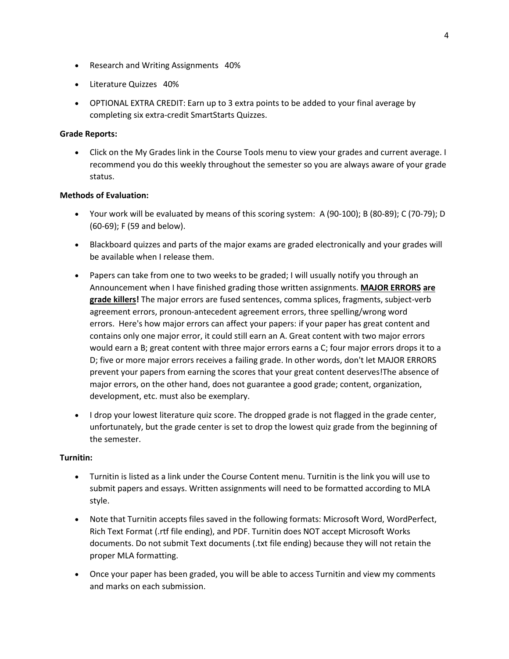- Research and Writing Assignments 40%
- Literature Quizzes 40%
- OPTIONAL EXTRA CREDIT: Earn up to 3 extra points to be added to your final average by completing six extra-credit SmartStarts Quizzes.

### **Grade Reports:**

 Click on the My Grades link in the Course Tools menu to view your grades and current average. I recommend you do this weekly throughout the semester so you are always aware of your grade status.

## **Methods of Evaluation:**

- Your work will be evaluated by means of this scoring system: A (90-100); B (80-89); C (70-79); D (60-69); F (59 and below).
- Blackboard quizzes and parts of the major exams are graded electronically and your grades will be available when I release them.
- Papers can take from one to two weeks to be graded; I will usually notify you through an Announcement when I have finished grading those written assignments. **MAJOR ERRORS are grade killers!** The major errors are fused sentences, comma splices, fragments, subject-verb agreement errors, pronoun-antecedent agreement errors, three spelling/wrong word errors. Here's how major errors can affect your papers: if your paper has great content and contains only one major error, it could still earn an A. Great content with two major errors would earn a B; great content with three major errors earns a C; four major errors drops it to a D; five or more major errors receives a failing grade. In other words, don't let MAJOR ERRORS prevent your papers from earning the scores that your great content deserves!The absence of major errors, on the other hand, does not guarantee a good grade; content, organization, development, etc. must also be exemplary.
- I drop your lowest literature quiz score. The dropped grade is not flagged in the grade center, unfortunately, but the grade center is set to drop the lowest quiz grade from the beginning of the semester.

### **Turnitin:**

- Turnitin is listed as a link under the Course Content menu. Turnitin is the link you will use to submit papers and essays. Written assignments will need to be formatted according to MLA style.
- Note that Turnitin accepts files saved in the following formats: Microsoft Word, WordPerfect, Rich Text Format (.rtf file ending), and PDF. Turnitin does NOT accept Microsoft Works documents. Do not submit Text documents (.txt file ending) because they will not retain the proper MLA formatting.
- Once your paper has been graded, you will be able to access Turnitin and view my comments and marks on each submission.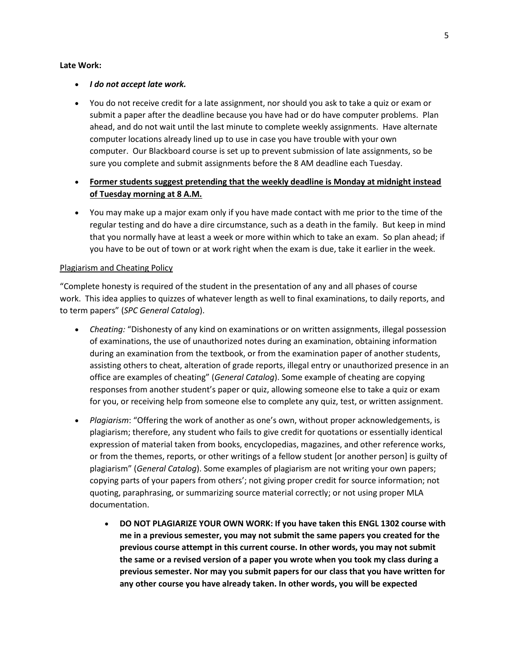#### **Late Work:**

#### *I do not accept late work.*

- You do not receive credit for a late assignment, nor should you ask to take a quiz or exam or submit a paper after the deadline because you have had or do have computer problems. Plan ahead, and do not wait until the last minute to complete weekly assignments. Have alternate computer locations already lined up to use in case you have trouble with your own computer. Our Blackboard course is set up to prevent submission of late assignments, so be sure you complete and submit assignments before the 8 AM deadline each Tuesday.
- **Former students suggest pretending that the weekly deadline is Monday at midnight instead of Tuesday morning at 8 A.M.**
- You may make up a major exam only if you have made contact with me prior to the time of the regular testing and do have a dire circumstance, such as a death in the family. But keep in mind that you normally have at least a week or more within which to take an exam. So plan ahead; if you have to be out of town or at work right when the exam is due, take it earlier in the week.

#### Plagiarism and Cheating Policy

"Complete honesty is required of the student in the presentation of any and all phases of course work. This idea applies to quizzes of whatever length as well to final examinations, to daily reports, and to term papers" (*SPC General Catalog*).

- *Cheating:* "Dishonesty of any kind on examinations or on written assignments, illegal possession of examinations, the use of unauthorized notes during an examination, obtaining information during an examination from the textbook, or from the examination paper of another students, assisting others to cheat, alteration of grade reports, illegal entry or unauthorized presence in an office are examples of cheating" (*General Catalog*). Some example of cheating are copying responses from another student's paper or quiz, allowing someone else to take a quiz or exam for you, or receiving help from someone else to complete any quiz, test, or written assignment.
- *Plagiarism*: "Offering the work of another as one's own, without proper acknowledgements, is plagiarism; therefore, any student who fails to give credit for quotations or essentially identical expression of material taken from books, encyclopedias, magazines, and other reference works, or from the themes, reports, or other writings of a fellow student [or another person] is guilty of plagiarism" (*General Catalog*). Some examples of plagiarism are not writing your own papers; copying parts of your papers from others'; not giving proper credit for source information; not quoting, paraphrasing, or summarizing source material correctly; or not using proper MLA documentation.
	- **DO NOT PLAGIARIZE YOUR OWN WORK: If you have taken this ENGL 1302 course with me in a previous semester, you may not submit the same papers you created for the previous course attempt in this current course. In other words, you may not submit the same or a revised version of a paper you wrote when you took my class during a previous semester. Nor may you submit papers for our class that you have written for any other course you have already taken. In other words, you will be expected**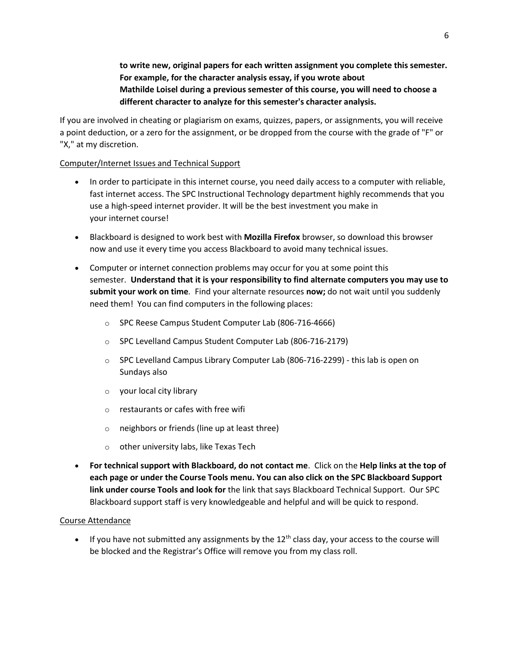**to write new, original papers for each written assignment you complete this semester. For example, for the character analysis essay, if you wrote about Mathilde Loisel during a previous semester of this course, you will need to choose a different character to analyze for this semester's character analysis.**

If you are involved in cheating or plagiarism on exams, quizzes, papers, or assignments, you will receive a point deduction, or a zero for the assignment, or be dropped from the course with the grade of "F" or "X," at my discretion.

### Computer/Internet Issues and Technical Support

- In order to participate in this internet course, you need daily access to a computer with reliable, fast internet access. The SPC Instructional Technology department highly recommends that you use a high-speed internet provider. It will be the best investment you make in your internet course!
- Blackboard is designed to work best with **Mozilla Firefox** browser, so download this browser now and use it every time you access Blackboard to avoid many technical issues.
- Computer or internet connection problems may occur for you at some point this semester. **Understand that it is your responsibility to find alternate computers you may use to submit your work on time***.* Find your alternate resources **now;** do not wait until you suddenly need them! You can find computers in the following places:
	- o SPC Reese Campus Student Computer Lab (806-716-4666)
	- o SPC Levelland Campus Student Computer Lab (806-716-2179)
	- o SPC Levelland Campus Library Computer Lab (806-716-2299) this lab is open on Sundays also
	- o your local city library
	- o restaurants or cafes with free wifi
	- o neighbors or friends (line up at least three)
	- o other university labs, like Texas Tech
- **For technical support with Blackboard, do not contact me**. Click on the **Help links at the top of each page or under the Course Tools menu. You can also click on the SPC Blackboard Support link under course Tools and look for** the link that says Blackboard Technical Support. Our SPC Blackboard support staff is very knowledgeable and helpful and will be quick to respond.

### Course Attendance

If you have not submitted any assignments by the  $12<sup>th</sup>$  class day, your access to the course will be blocked and the Registrar's Office will remove you from my class roll.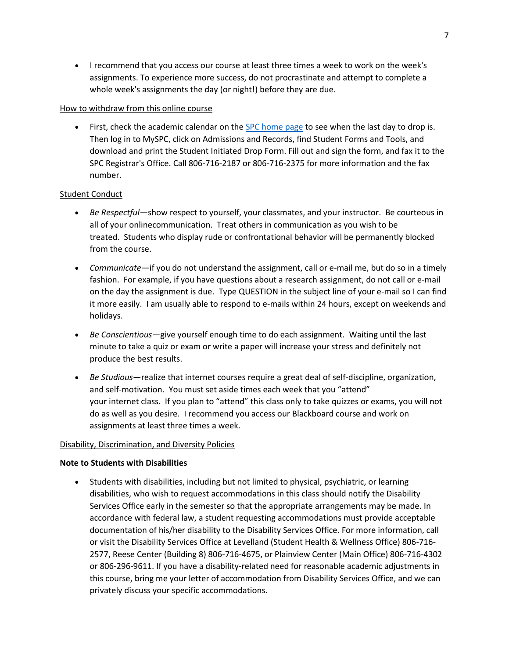I recommend that you access our course at least three times a week to work on the week's assignments. To experience more success, do not procrastinate and attempt to complete a whole week's assignments the day (or night!) before they are due.

### How to withdraw from this online course

• First, check the academic calendar on the [SPC home page](http://www.southplainscollege.edu/) to see when the last day to drop is. Then log in to MySPC, click on Admissions and Records, find Student Forms and Tools, and download and print the Student Initiated Drop Form. Fill out and sign the form, and fax it to the SPC Registrar's Office. Call 806-716-2187 or 806-716-2375 for more information and the fax number.

### Student Conduct

- *Be Respectful—*show respect to yourself, your classmates, and your instructor. Be courteous in all of your onlinecommunication. Treat others in communication as you wish to be treated. Students who display rude or confrontational behavior will be permanently blocked from the course.
- *Communicate*—if you do not understand the assignment, call or e-mail me, but do so in a timely fashion. For example, if you have questions about a research assignment, do not call or e-mail on the day the assignment is due. Type QUESTION in the subject line of your e-mail so I can find it more easily. I am usually able to respond to e-mails within 24 hours, except on weekends and holidays.
- *Be Conscientious*—give yourself enough time to do each assignment. Waiting until the last minute to take a quiz or exam or write a paper will increase your stress and definitely not produce the best results.
- *Be Studious*—realize that internet courses require a great deal of self-discipline, organization, and self-motivation. You must set aside times each week that you "attend" your internet class. If you plan to "attend" this class only to take quizzes or exams, you will not do as well as you desire. I recommend you access our Blackboard course and work on assignments at least three times a week.

#### Disability, Discrimination, and Diversity Policies

#### **Note to Students with Disabilities**

 Students with disabilities, including but not limited to physical, psychiatric, or learning disabilities, who wish to request accommodations in this class should notify the Disability Services Office early in the semester so that the appropriate arrangements may be made. In accordance with federal law, a student requesting accommodations must provide acceptable documentation of his/her disability to the Disability Services Office. For more information, call or visit the Disability Services Office at Levelland (Student Health & Wellness Office) 806-716- 2577, Reese Center (Building 8) 806-716-4675, or Plainview Center (Main Office) 806-716-4302 or 806-296-9611. If you have a disability-related need for reasonable academic adjustments in this course, bring me your letter of accommodation from Disability Services Office, and we can privately discuss your specific accommodations.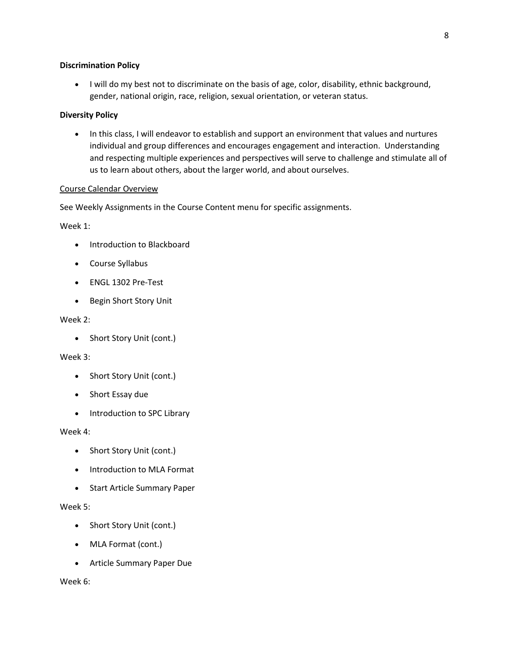### **Discrimination Policy**

 I will do my best not to discriminate on the basis of age, color, disability, ethnic background, gender, national origin, race, religion, sexual orientation, or veteran status.

### **Diversity Policy**

• In this class, I will endeavor to establish and support an environment that values and nurtures individual and group differences and encourages engagement and interaction. Understanding and respecting multiple experiences and perspectives will serve to challenge and stimulate all of us to learn about others, about the larger world, and about ourselves.

#### Course Calendar Overview

See Weekly Assignments in the Course Content menu for specific assignments.

Week 1:

- Introduction to Blackboard
- Course Syllabus
- ENGL 1302 Pre-Test
- Begin Short Story Unit

### Week 2:

• Short Story Unit (cont.)

### Week 3:

- Short Story Unit (cont.)
- Short Essay due
- Introduction to SPC Library

#### Week 4:

- Short Story Unit (cont.)
- Introduction to MLA Format
- Start Article Summary Paper

#### Week 5:

- Short Story Unit (cont.)
- MLA Format (cont.)
- Article Summary Paper Due

Week 6: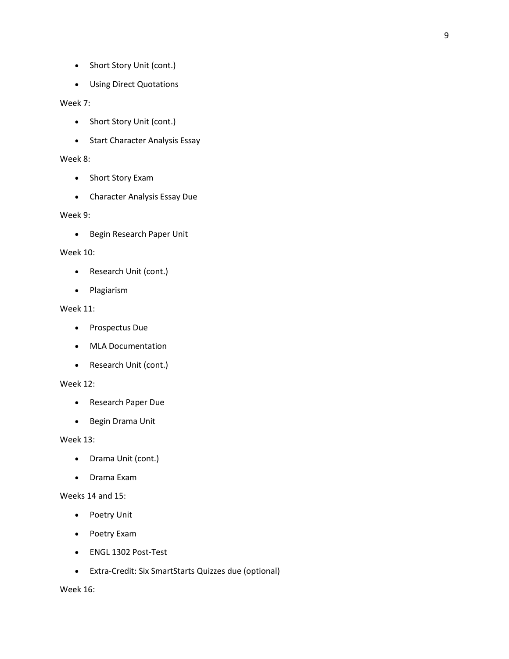- Short Story Unit (cont.)
- Using Direct Quotations

### Week 7:

- Short Story Unit (cont.)
- Start Character Analysis Essay

#### Week 8:

- Short Story Exam
- Character Analysis Essay Due

### Week 9:

• Begin Research Paper Unit

#### Week 10:

- Research Unit (cont.)
- Plagiarism

#### Week 11:

- Prospectus Due
- MLA Documentation
- Research Unit (cont.)

### Week 12:

- Research Paper Due
- Begin Drama Unit

### Week 13:

- Drama Unit (cont.)
- Drama Exam

# Weeks 14 and 15:

- Poetry Unit
- Poetry Exam
- ENGL 1302 Post-Test
- Extra-Credit: Six SmartStarts Quizzes due (optional)

Week 16: